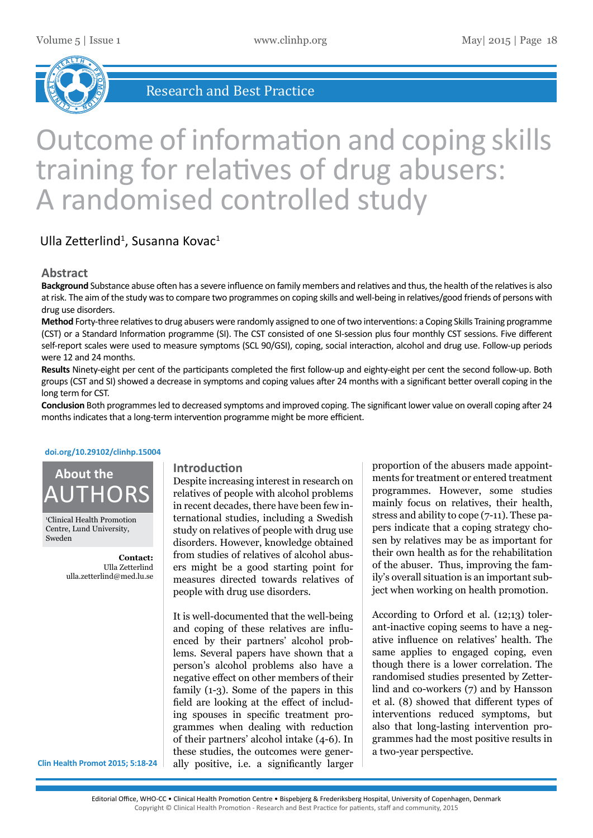

# Outcome of information and coping skills training for relatives of drug abusers: A randomised controlled study

# Ulla Zetterlind<sup>1</sup>, Susanna Kovac<sup>1</sup>

# **Abstract**

**Background** Substance abuse often has a severe influence on family members and relatives and thus, the health of the relatives is also at risk. The aim of the study was to compare two programmes on coping skills and well-being in relatives/good friends of persons with drug use disorders.

**Method** Forty-three relatives to drug abusers were randomly assigned to one of two interventions: a Coping Skills Training programme (CST) or a Standard Information programme (SI). The CST consisted of one SI-session plus four monthly CST sessions. Five different self-report scales were used to measure symptoms (SCL 90/GSI), coping, social interaction, alcohol and drug use. Follow-up periods were 12 and 24 months.

**Results** Ninety-eight per cent of the participants completed the first follow-up and eighty-eight per cent the second follow-up. Both groups (CST and SI) showed a decrease in symptoms and coping values after 24 months with a significant better overall coping in the long term for CST.

**Conclusion** Both programmes led to decreased symptoms and improved coping. The significant lower value on overall coping after 24 months indicates that a long-term intervention programme might be more efficient.

### **[doi.org/10.29102/clinhp.15004](http://doi.org/10.29102/clinhp.15004)**

AUTHORS **About the**

1 Clinical Health Promotion Centre, Lund University, Sweden

> **Contact:** Ulla Zetterlind ulla.zetterlind@med.lu.se

# **Introduction**

Despite increasing interest in research on relatives of people with alcohol problems in recent decades, there have been few international studies, including a Swedish study on relatives of people with drug use disorders. However, knowledge obtained from studies of relatives of alcohol abusers might be a good starting point for measures directed towards relatives of people with drug use disorders.

It is well-documented that the well-being and coping of these relatives are influenced by their partners' alcohol problems. Several papers have shown that a person's alcohol problems also have a negative effect on other members of their family (1-3). Some of the papers in this field are looking at the effect of including spouses in specific treatment programmes when dealing with reduction of their partners' alcohol intake (4-6). In these studies, the outcomes were generally positive, i.e. a significantly larger

proportion of the abusers made appointments for treatment or entered treatment programmes. However, some studies mainly focus on relatives, their health, stress and ability to cope (7-11). These papers indicate that a coping strategy chosen by relatives may be as important for their own health as for the rehabilitation of the abuser. Thus, improving the family's overall situation is an important subject when working on health promotion.

According to Orford et al. (12;13) tolerant-inactive coping seems to have a negative influence on relatives' health. The same applies to engaged coping, even though there is a lower correlation. The randomised studies presented by Zetterlind and co-workers (7) and by Hansson et al. (8) showed that different types of interventions reduced symptoms, but also that long-lasting intervention programmes had the most positive results in a two-year perspective.

**Clin Health Promot 2015; 5:18-24**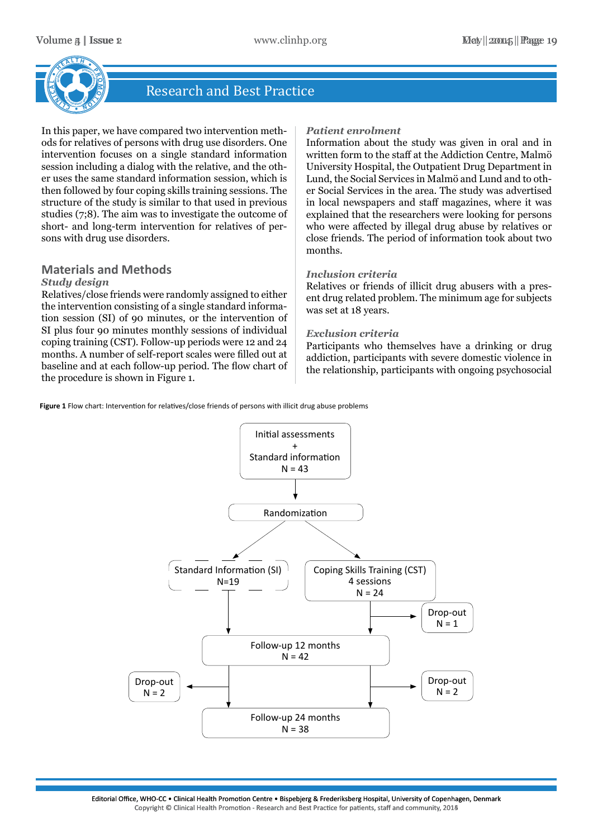

In this paper, we have compared two intervention methods for relatives of persons with drug use disorders. One intervention focuses on a single standard information session including a dialog with the relative, and the other uses the same standard information session, which is then followed by four coping skills training sessions. The structure of the study is similar to that used in previous studies (7;8). The aim was to investigate the outcome of short- and long-term intervention for relatives of persons with drug use disorders.

# **Materials and Methods**

# *Study design*

Relatives/close friends were randomly assigned to either the intervention consisting of a single standard information session (SI) of 90 minutes, or the intervention of SI plus four 90 minutes monthly sessions of individual coping training (CST). Follow-up periods were 12 and 24 months. A number of self-report scales were filled out at baseline and at each follow-up period. The flow chart of the procedure is shown in Figure 1.

# *Patient enrolment*

Information about the study was given in oral and in written form to the staff at the Addiction Centre, Malmö University Hospital, the Outpatient Drug Department in Lund, the Social Services in Malmö and Lund and to other Social Services in the area. The study was advertised in local newspapers and staff magazines, where it was explained that the researchers were looking for persons who were affected by illegal drug abuse by relatives or close friends. The period of information took about two months.

# *Inclusion criteria*

Relatives or friends of illicit drug abusers with a present drug related problem. The minimum age for subjects was set at 18 years.

# *Exclusion criteria*

Participants who themselves have a drinking or drug addiction, participants with severe domestic violence in the relationship, participants with ongoing psychosocial

**Figure 1** Flow chart: Intervention for relatives/close friends of persons with illicit drug abuse problems

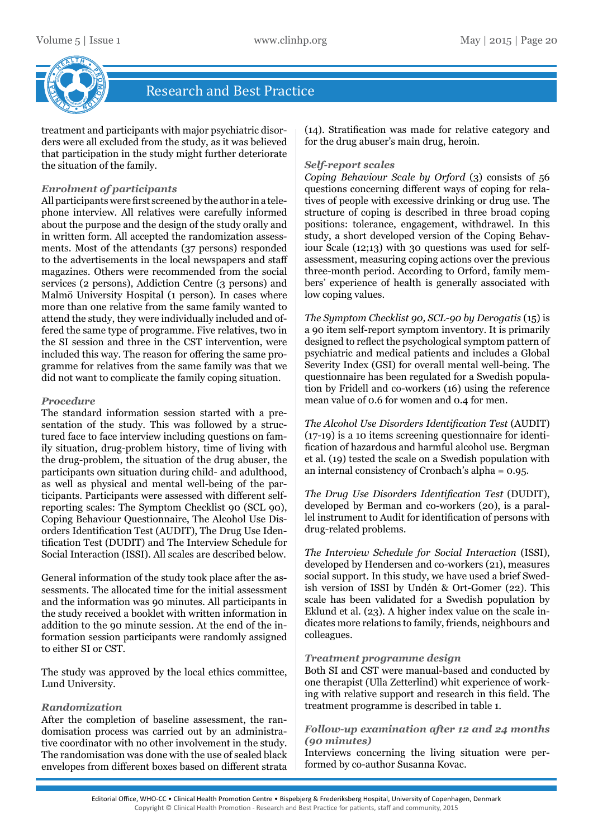

treatment and participants with major psychiatric disorders were all excluded from the study, as it was believed that participation in the study might further deteriorate the situation of the family.

# *Enrolment of participants*

All participants were first screened by the author in a telephone interview. All relatives were carefully informed about the purpose and the design of the study orally and in written form. All accepted the randomization assessments. Most of the attendants (37 persons) responded to the advertisements in the local newspapers and staff magazines. Others were recommended from the social services (2 persons), Addiction Centre (3 persons) and Malmö University Hospital (1 person). In cases where more than one relative from the same family wanted to attend the study, they were individually included and offered the same type of programme. Five relatives, two in the SI session and three in the CST intervention, were included this way. The reason for offering the same programme for relatives from the same family was that we did not want to complicate the family coping situation.

# *Procedure*

The standard information session started with a presentation of the study. This was followed by a structured face to face interview including questions on family situation, drug-problem history, time of living with the drug-problem, the situation of the drug abuser, the participants own situation during child- and adulthood, as well as physical and mental well-being of the participants. Participants were assessed with different selfreporting scales: The Symptom Checklist 90 (SCL 90), Coping Behaviour Questionnaire, The Alcohol Use Disorders Identification Test (AUDIT), The Drug Use Identification Test (DUDIT) and The Interview Schedule for Social Interaction (ISSI). All scales are described below.

General information of the study took place after the assessments. The allocated time for the initial assessment and the information was 90 minutes. All participants in the study received a booklet with written information in addition to the 90 minute session. At the end of the information session participants were randomly assigned to either SI or CST.

The study was approved by the local ethics committee, Lund University.

# *Randomization*

After the completion of baseline assessment, the randomisation process was carried out by an administrative coordinator with no other involvement in the study. The randomisation was done with the use of sealed black envelopes from different boxes based on different strata (14). Stratification was made for relative category and for the drug abuser's main drug, heroin.

# *Self-report scales*

*Coping Behaviour Scale by Orford* (3) consists of 56 questions concerning different ways of coping for relatives of people with excessive drinking or drug use. The structure of coping is described in three broad coping positions: tolerance, engagement, withdrawel. In this study, a short developed version of the Coping Behaviour Scale (12;13) with 30 questions was used for selfassessment, measuring coping actions over the previous three-month period. According to Orford, family members' experience of health is generally associated with low coping values.

*The Symptom Checklist 90, SCL-90 by Derogatis* (15) is a 90 item self-report symptom inventory. It is primarily designed to reflect the psychological symptom pattern of psychiatric and medical patients and includes a Global Severity Index (GSI) for overall mental well-being. The questionnaire has been regulated for a Swedish population by Fridell and co-workers (16) using the reference mean value of 0.6 for women and 0.4 for men.

*The Alcohol Use Disorders Identification Test* (AUDIT) (17-19) is a 10 items screening questionnaire for identification of hazardous and harmful alcohol use. Bergman et al. (19) tested the scale on a Swedish population with an internal consistency of Cronbach's alpha = 0.95.

*The Drug Use Disorders Identification Test* (DUDIT), developed by Berman and co-workers (20), is a parallel instrument to Audit for identification of persons with drug-related problems.

*The Interview Schedule for Social Interaction* (ISSI), developed by Hendersen and co-workers (21), measures social support. In this study, we have used a brief Swedish version of ISSI by Undén & Ort-Gomer (22). This scale has been validated for a Swedish population by Eklund et al. (23). A higher index value on the scale indicates more relations to family, friends, neighbours and colleagues.

### *Treatment programme design*

Both SI and CST were manual-based and conducted by one therapist (Ulla Zetterlind) whit experience of working with relative support and research in this field. The treatment programme is described in table 1.

### *Follow-up examination after 12 and 24 months (90 minutes)*

Interviews concerning the living situation were performed by co-author Susanna Kovac.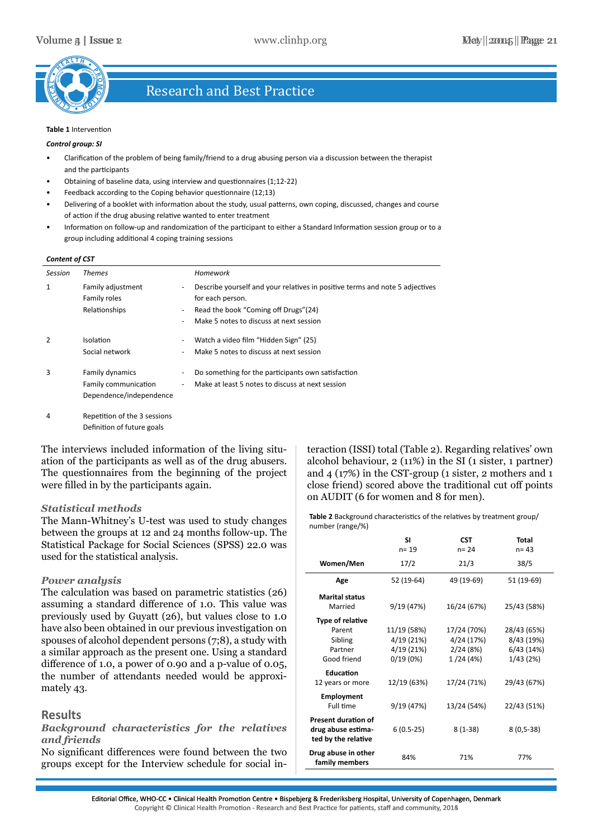

#### **Table 1** Intervention

#### *Control group: SI*

- Clarification of the problem of being family/friend to a drug abusing person via a discussion between the therapist and the participants
- Obtaining of baseline data, using interview and questionnaires (1;12-22)
- Feedback according to the Coping behavior questionnaire (12;13)
- Delivering of a booklet with information about the study, usual patterns, own coping, discussed, changes and course of action if the drug abusing relative wanted to enter treatment
- Information on follow-up and randomization of the participant to either a Standard Information session group or to a group including additional 4 coping training sessions

#### *Content of CST*

| Volume a   Issue 2                                                                                           |                                                            | www.clinhp.org                                                                                                                                                                         |                                                                                                                                 |                          |                        |                                                        |
|--------------------------------------------------------------------------------------------------------------|------------------------------------------------------------|----------------------------------------------------------------------------------------------------------------------------------------------------------------------------------------|---------------------------------------------------------------------------------------------------------------------------------|--------------------------|------------------------|--------------------------------------------------------|
|                                                                                                              |                                                            |                                                                                                                                                                                        |                                                                                                                                 |                          |                        |                                                        |
|                                                                                                              |                                                            |                                                                                                                                                                                        |                                                                                                                                 |                          |                        |                                                        |
|                                                                                                              |                                                            | <b>Research and Best Practice</b>                                                                                                                                                      |                                                                                                                                 |                          |                        |                                                        |
|                                                                                                              |                                                            |                                                                                                                                                                                        |                                                                                                                                 |                          |                        |                                                        |
| Table 1 Intervention                                                                                         |                                                            |                                                                                                                                                                                        |                                                                                                                                 |                          |                        |                                                        |
| Control group: SI                                                                                            |                                                            |                                                                                                                                                                                        |                                                                                                                                 |                          |                        |                                                        |
|                                                                                                              |                                                            | Clarification of the problem of being family/friend to a drug abusing person via a discussion between the therapist                                                                    |                                                                                                                                 |                          |                        |                                                        |
| and the participants                                                                                         |                                                            |                                                                                                                                                                                        |                                                                                                                                 |                          |                        |                                                        |
|                                                                                                              |                                                            | Obtaining of baseline data, using interview and questionnaires (1;12-22)                                                                                                               |                                                                                                                                 |                          |                        |                                                        |
|                                                                                                              |                                                            | Feedback according to the Coping behavior questionnaire (12;13)<br>Delivering of a booklet with information about the study, usual patterns, own coping, discussed, changes and course |                                                                                                                                 |                          |                        |                                                        |
|                                                                                                              |                                                            | of action if the drug abusing relative wanted to enter treatment                                                                                                                       |                                                                                                                                 |                          |                        |                                                        |
| ٠                                                                                                            |                                                            | Information on follow-up and randomization of the participant to either a Standard Information session group or to a                                                                   |                                                                                                                                 |                          |                        |                                                        |
|                                                                                                              | group including additional 4 coping training sessions      |                                                                                                                                                                                        |                                                                                                                                 |                          |                        |                                                        |
| Content of CST                                                                                               |                                                            |                                                                                                                                                                                        |                                                                                                                                 |                          |                        |                                                        |
| Session<br><b>Themes</b>                                                                                     |                                                            | Homework                                                                                                                                                                               |                                                                                                                                 |                          |                        |                                                        |
| 1                                                                                                            | Family adjustment                                          | Describe yourself and your relatives in positive terms and note 5 adjectives                                                                                                           |                                                                                                                                 |                          |                        |                                                        |
| Family roles                                                                                                 |                                                            | for each person.<br>Read the book "Coming off Drugs"(24)                                                                                                                               |                                                                                                                                 |                          |                        |                                                        |
|                                                                                                              | Relationships                                              | Make 5 notes to discuss at next session                                                                                                                                                |                                                                                                                                 |                          |                        |                                                        |
| $\overline{2}$                                                                                               |                                                            |                                                                                                                                                                                        |                                                                                                                                 |                          |                        |                                                        |
| Isolation                                                                                                    | Social network                                             | Watch a video film "Hidden Sign" (25)<br>Make 5 notes to discuss at next session                                                                                                       |                                                                                                                                 |                          |                        |                                                        |
|                                                                                                              |                                                            |                                                                                                                                                                                        |                                                                                                                                 |                          |                        |                                                        |
|                                                                                                              |                                                            |                                                                                                                                                                                        |                                                                                                                                 |                          |                        |                                                        |
|                                                                                                              | Family dynamics                                            | Do something for the participants own satisfaction                                                                                                                                     |                                                                                                                                 |                          |                        |                                                        |
|                                                                                                              | Family communication<br>Dependence/independence            | Make at least 5 notes to discuss at next session                                                                                                                                       |                                                                                                                                 |                          |                        |                                                        |
|                                                                                                              |                                                            |                                                                                                                                                                                        |                                                                                                                                 |                          |                        |                                                        |
|                                                                                                              | Repetition of the 3 sessions<br>Definition of future goals |                                                                                                                                                                                        |                                                                                                                                 |                          |                        |                                                        |
|                                                                                                              |                                                            |                                                                                                                                                                                        |                                                                                                                                 |                          |                        |                                                        |
|                                                                                                              |                                                            | The interviews included information of the living situ-                                                                                                                                | teraction (ISSI) total (Table 2). Regarding relatives' own                                                                      |                          |                        |                                                        |
|                                                                                                              |                                                            | ation of the participants as well as of the drug abusers.                                                                                                                              | alcohol behaviour, 2 (11%) in the SI (1 sister, 1 partner)                                                                      |                          |                        |                                                        |
|                                                                                                              | were filled in by the participants again.                  | The questionnaires from the beginning of the project                                                                                                                                   | and $4 \frac{17\%}{2}$ in the CST-group (1 sister, 2 mothers and 1<br>close friend) scored above the traditional cut off points |                          |                        |                                                        |
|                                                                                                              |                                                            |                                                                                                                                                                                        | on AUDIT (6 for women and 8 for men).                                                                                           |                          |                        |                                                        |
|                                                                                                              |                                                            |                                                                                                                                                                                        | Table 2 Background characteristics of the relatives by treatment group/                                                         |                          |                        |                                                        |
|                                                                                                              |                                                            | The Mann-Whitney's U-test was used to study changes<br>between the groups at 12 and 24 months follow-up. The                                                                           | number (range/%)                                                                                                                |                          |                        |                                                        |
|                                                                                                              |                                                            | Statistical Package for Social Sciences (SPSS) 22.0 was                                                                                                                                |                                                                                                                                 | SΙ<br>$n = 19$           | <b>CST</b><br>$n = 24$ | Total<br>$n = 43$                                      |
|                                                                                                              | used for the statistical analysis.                         |                                                                                                                                                                                        | Women/Men                                                                                                                       | 17/2                     | 21/3                   | 38/5                                                   |
|                                                                                                              |                                                            |                                                                                                                                                                                        |                                                                                                                                 |                          |                        |                                                        |
|                                                                                                              |                                                            | The calculation was based on parametric statistics (26)                                                                                                                                | Age                                                                                                                             | 52 (19-64)               | 49 (19-69)             | 51 (19-69)                                             |
|                                                                                                              |                                                            | assuming a standard difference of 1.0. This value was                                                                                                                                  | <b>Marital status</b><br>Married                                                                                                | 9/19 (47%)               | 16/24 (67%)            | 25/43 (58%)                                            |
|                                                                                                              |                                                            | previously used by Guyatt (26), but values close to 1.0                                                                                                                                | <b>Type of relative</b>                                                                                                         |                          |                        |                                                        |
|                                                                                                              |                                                            | have also been obtained in our previous investigation on                                                                                                                               | Parent                                                                                                                          | 11/19 (58%)              | 17/24 (70%)            |                                                        |
|                                                                                                              |                                                            | spouses of alcohol dependent persons (7;8), a study with                                                                                                                               | Sibling<br>Partner                                                                                                              | 4/19 (21%)<br>4/19 (21%) | 4/24 (17%)<br>2/24(8%) |                                                        |
|                                                                                                              |                                                            | a similar approach as the present one. Using a standard<br>difference of 1.0, a power of 0.90 and a p-value of 0.05,                                                                   | Good friend                                                                                                                     | 0/19(0%)                 | 1/24 (4%)              | 1/43 (2%)                                              |
|                                                                                                              |                                                            | the number of attendants needed would be approxi-                                                                                                                                      | <b>Education</b>                                                                                                                |                          |                        |                                                        |
|                                                                                                              |                                                            |                                                                                                                                                                                        | 12 years or more                                                                                                                | 12/19 (63%)              | 17/24 (71%)            | 28/43 (65%)<br>8/43 (19%)<br>6/43 (14%)<br>29/43 (67%) |
|                                                                                                              |                                                            |                                                                                                                                                                                        | <b>Employment</b><br>Full time                                                                                                  | 9/19 (47%)               | 13/24 (54%)            | 22/43 (51%)                                            |
|                                                                                                              |                                                            |                                                                                                                                                                                        | <b>Present duration of</b>                                                                                                      |                          |                        |                                                        |
|                                                                                                              |                                                            | Background characteristics for the relatives                                                                                                                                           | drug abuse estima-<br>ted by the relative                                                                                       | $6(0.5-25)$              | $8(1-38)$              | $8(0,5-38)$                                            |
| 3<br>4<br><b>Statistical methods</b><br><b>Power analysis</b><br>mately 43.<br><b>Results</b><br>and friends |                                                            | No significant differences were found between the two                                                                                                                                  | Drug abuse in other                                                                                                             | 84%                      | 71%                    | 77%                                                    |

### *Statistical methods*

### *Power analysis*

# **Results**

# *Background characteristics for the relatives and friends*

|                                                                         | <b>SI</b><br>$n = 19$                   | <b>CST</b><br>$n = 24$                | Total<br>$n = 43$                       |
|-------------------------------------------------------------------------|-----------------------------------------|---------------------------------------|-----------------------------------------|
| Women/Men                                                               | 17/2                                    | 21/3                                  | 38/5                                    |
| Age                                                                     | 52 (19-64)                              | 49 (19-69)                            | 51 (19-69)                              |
| <b>Marital status</b><br>Married                                        |                                         |                                       |                                         |
|                                                                         | 9/19 (47%)                              | 16/24 (67%)                           | 25/43 (58%)                             |
| Type of relative<br>Parent<br>Sibling<br>Partner                        | 11/19 (58%)<br>4/19 (21%)<br>4/19 (21%) | 17/24 (70%)<br>4/24 (17%)<br>2/24(8%) | 28/43 (65%)<br>8/43 (19%)<br>6/43 (14%) |
| Good friend<br><b>Education</b>                                         | 0/19(0%)                                | 1/24(4%)                              | 1/43(2%)                                |
| 12 years or more                                                        | 12/19 (63%)                             | 17/24 (71%)                           | 29/43 (67%)                             |
| <b>Employment</b><br>Full time                                          | 9/19 (47%)                              | 13/24 (54%)                           | 22/43 (51%)                             |
| <b>Present duration of</b><br>drug abuse estima-<br>ted by the relative | $6(0.5-25)$                             | $8(1-38)$                             | $8(0,5-38)$                             |
| Drug abuse in other<br>family members                                   | 84%                                     | 71%                                   | 77%                                     |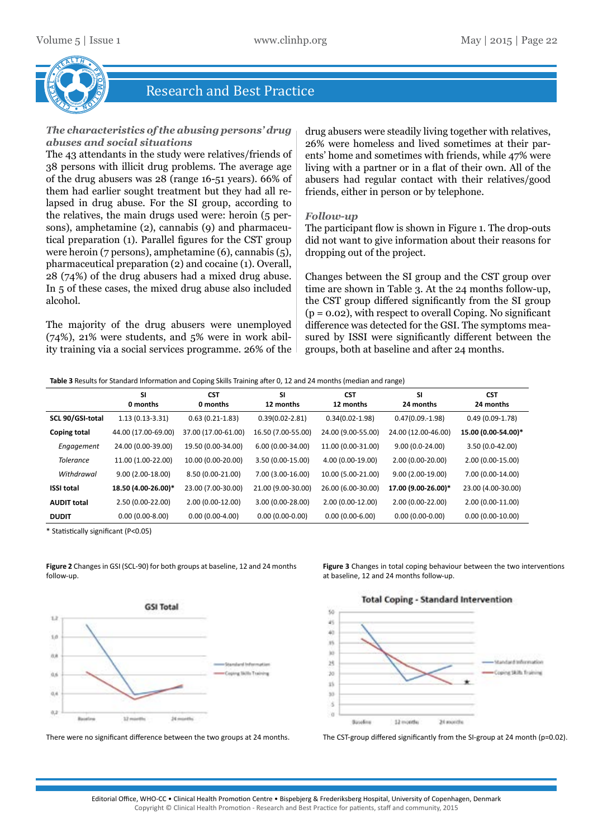

# *The characteristics of the abusing persons' drug abuses and social situations*

The 43 attendants in the study were relatives/friends of 38 persons with illicit drug problems. The average age of the drug abusers was 28 (range 16-51 years). 66% of them had earlier sought treatment but they had all relapsed in drug abuse. For the SI group, according to the relatives, the main drugs used were: heroin (5 persons), amphetamine (2), cannabis (9) and pharmaceutical preparation (1). Parallel figures for the CST group were heroin (7 persons), amphetamine (6), cannabis (5), pharmaceutical preparation (2) and cocaine (1). Overall, 28 (74%) of the drug abusers had a mixed drug abuse. In 5 of these cases, the mixed drug abuse also included alcohol.

The majority of the drug abusers were unemployed (74%), 21% were students, and 5% were in work ability training via a social services programme. 26% of the

drug abusers were steadily living together with relatives, 26% were homeless and lived sometimes at their parents' home and sometimes with friends, while 47% were living with a partner or in a flat of their own. All of the abusers had regular contact with their relatives/good friends, either in person or by telephone.

# *Follow-up*

The participant flow is shown in Figure 1. The drop-outs did not want to give information about their reasons for dropping out of the project.

Changes between the SI group and the CST group over time are shown in Table 3. At the 24 months follow-up, the CST group differed significantly from the SI group  $(p = 0.02)$ , with respect to overall Coping. No significant difference was detected for the GSI. The symptoms measured by ISSI were significantly different between the groups, both at baseline and after 24 months.

#### **Table 3** Results for Standard Information and Coping Skills Training after 0, 12 and 24 months (median and range)

|                    | <b>SI</b><br>0 months | <b>CST</b><br>0 months | SI<br>12 months     | <b>CST</b><br>12 months | SI<br>24 months     | <b>CST</b><br>24 months |
|--------------------|-----------------------|------------------------|---------------------|-------------------------|---------------------|-------------------------|
| SCL 90/GSI-total   | $1.13(0.13-3.31)$     | $0.63(0.21-1.83)$      | $0.39(0.02 - 2.81)$ | $0.34(0.02-1.98)$       | $0.47(0.09.-1.98)$  | $0.49(0.09-1.78)$       |
| Coping total       | 44.00 (17.00-69.00)   | 37.00 (17.00-61.00)    | 16.50 (7.00-55.00)  | 24.00 (9.00-55.00)      | 24.00 (12.00-46.00) | 15.00 (0.00-54.00)*     |
| Engagement         | 24.00 (0.00-39.00)    | 19.50 (0.00-34.00)     | $6.00(0.00-34.00)$  | 11.00 (0.00-31.00)      | $9.00(0.0-24.00)$   | 3.50 (0.0-42.00)        |
| <b>Tolerance</b>   | 11.00 (1.00-22.00)    | 10.00 (0.00-20.00)     | 3.50 (0.00-15.00)   | 4.00 (0.00-19.00)       | 2.00 (0.00-20.00)   | 2.00 (0.00-15.00)       |
| Withdrawal         | $9.00(2.00-18.00)$    | 8.50 (0.00-21.00)      | 7.00 (3.00-16.00)   | 10.00 (5.00-21.00)      | $9.00(2.00-19.00)$  | 7.00 (0.00-14.00)       |
| <b>ISSI total</b>  | 18.50 (4.00-26.00)*   | 23.00 (7.00-30.00)     | 21.00 (9.00-30.00)  | 26.00 (6.00-30.00)      | 17.00 (9.00-26.00)* | 23.00 (4.00-30.00)      |
| <b>AUDIT total</b> | 2.50 (0.00-22.00)     | 2.00 (0.00-12.00)      | $3.00(0.00-28.00)$  | 2.00 (0.00-12.00)       | 2.00 (0.00-22.00)   | 2.00 (0.00-11.00)       |
| <b>DUDIT</b>       | $0.00(0.00-8.00)$     | $0.00(0.00-4.00)$      | $0.00(0.00-0.00)$   | $0.00(0.00 - 6.00)$     | $0.00(0.00-0.00)$   | $0.00(0.00-10.00)$      |

 $\mathbf{z}$ 

i.

\* Statistically significant (P<0.05)

**Figure 2** Changes in GSI (SCL-90) for both groups at baseline, 12 and 24 months follow-up.



**Figure 3** Changes in total coping behaviour between the two interventions at baseline, 12 and 24 months follow-up.

**Total Coping - Standard Intervention** 



There were no significant difference between the two groups at 24 months. The CST-group differed significantly from the SI-group at 24 month (p=0.02).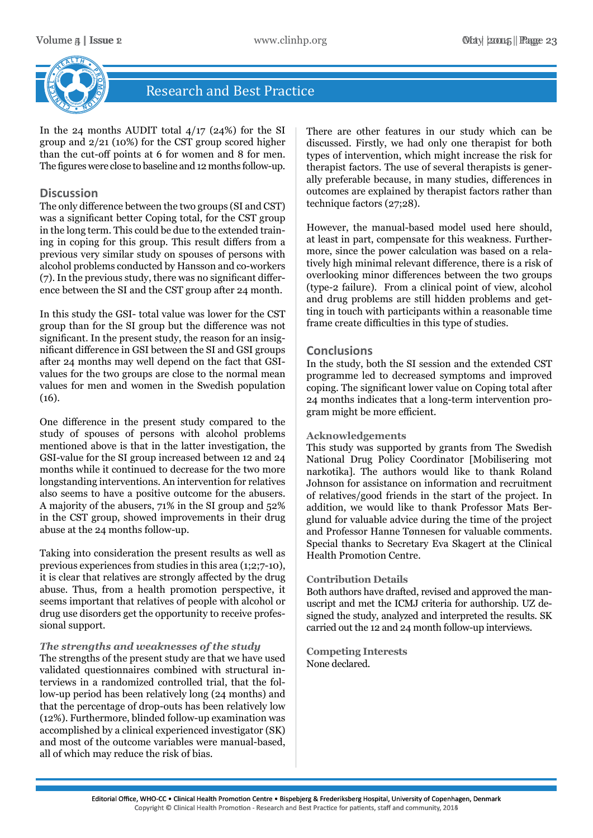

In the 24 months AUDIT total  $4/17$  (24%) for the SI group and 2/21 (10%) for the CST group scored higher than the cut-off points at 6 for women and 8 for men. The figures were close to baseline and 12 months follow-up.

# **Discussion**

The only difference between the two groups (SI and CST) was a significant better Coping total, for the CST group in the long term. This could be due to the extended training in coping for this group. This result differs from a previous very similar study on spouses of persons with alcohol problems conducted by Hansson and co-workers (7). In the previous study, there was no significant difference between the SI and the CST group after 24 month.

In this study the GSI- total value was lower for the CST group than for the SI group but the difference was not significant. In the present study, the reason for an insignificant difference in GSI between the SI and GSI groups after 24 months may well depend on the fact that GSIvalues for the two groups are close to the normal mean values for men and women in the Swedish population (16).

One difference in the present study compared to the study of spouses of persons with alcohol problems mentioned above is that in the latter investigation, the GSI-value for the SI group increased between 12 and 24 months while it continued to decrease for the two more longstanding interventions. An intervention for relatives also seems to have a positive outcome for the abusers. A majority of the abusers, 71% in the SI group and 52% in the CST group, showed improvements in their drug abuse at the 24 months follow-up.

Taking into consideration the present results as well as previous experiences from studies in this area (1;2;7-10), it is clear that relatives are strongly affected by the drug abuse. Thus, from a health promotion perspective, it seems important that relatives of people with alcohol or drug use disorders get the opportunity to receive professional support.

### *The strengths and weaknesses of the study*

The strengths of the present study are that we have used validated questionnaires combined with structural interviews in a randomized controlled trial, that the follow-up period has been relatively long (24 months) and that the percentage of drop-outs has been relatively low (12%). Furthermore, blinded follow-up examination was accomplished by a clinical experienced investigator (SK) and most of the outcome variables were manual-based, all of which may reduce the risk of bias.

There are other features in our study which can be discussed. Firstly, we had only one therapist for both types of intervention, which might increase the risk for therapist factors. The use of several therapists is generally preferable because, in many studies, differences in outcomes are explained by therapist factors rather than technique factors (27;28).

However, the manual-based model used here should, at least in part, compensate for this weakness. Furthermore, since the power calculation was based on a relatively high minimal relevant difference, there is a risk of overlooking minor differences between the two groups (type-2 failure). From a clinical point of view, alcohol and drug problems are still hidden problems and getting in touch with participants within a reasonable time frame create difficulties in this type of studies.

# **Conclusions**

In the study, both the SI session and the extended CST programme led to decreased symptoms and improved coping. The significant lower value on Coping total after 24 months indicates that a long-term intervention program might be more efficient.

# **Acknowledgements**

Volve dialapone and the statistics of the statistics of the statistics of the statistics of the statistics of the statistics of the statistics of the statistics of the statistics of the statistics of the statistics of the This study was supported by grants from The Swedish National Drug Policy Coordinator [Mobilisering mot narkotika]. The authors would like to thank Roland Johnson for assistance on information and recruitment of relatives/good friends in the start of the project. In addition, we would like to thank Professor Mats Berglund for valuable advice during the time of the project and Professor Hanne Tønnesen for valuable comments. Special thanks to Secretary Eva Skagert at the Clinical Health Promotion Centre.

# **Contribution Details**

Both authors have drafted, revised and approved the manuscript and met the ICMJ criteria for authorship. UZ designed the study, analyzed and interpreted the results. SK carried out the 12 and 24 month follow-up interviews.

**Competing Interests** None declared.